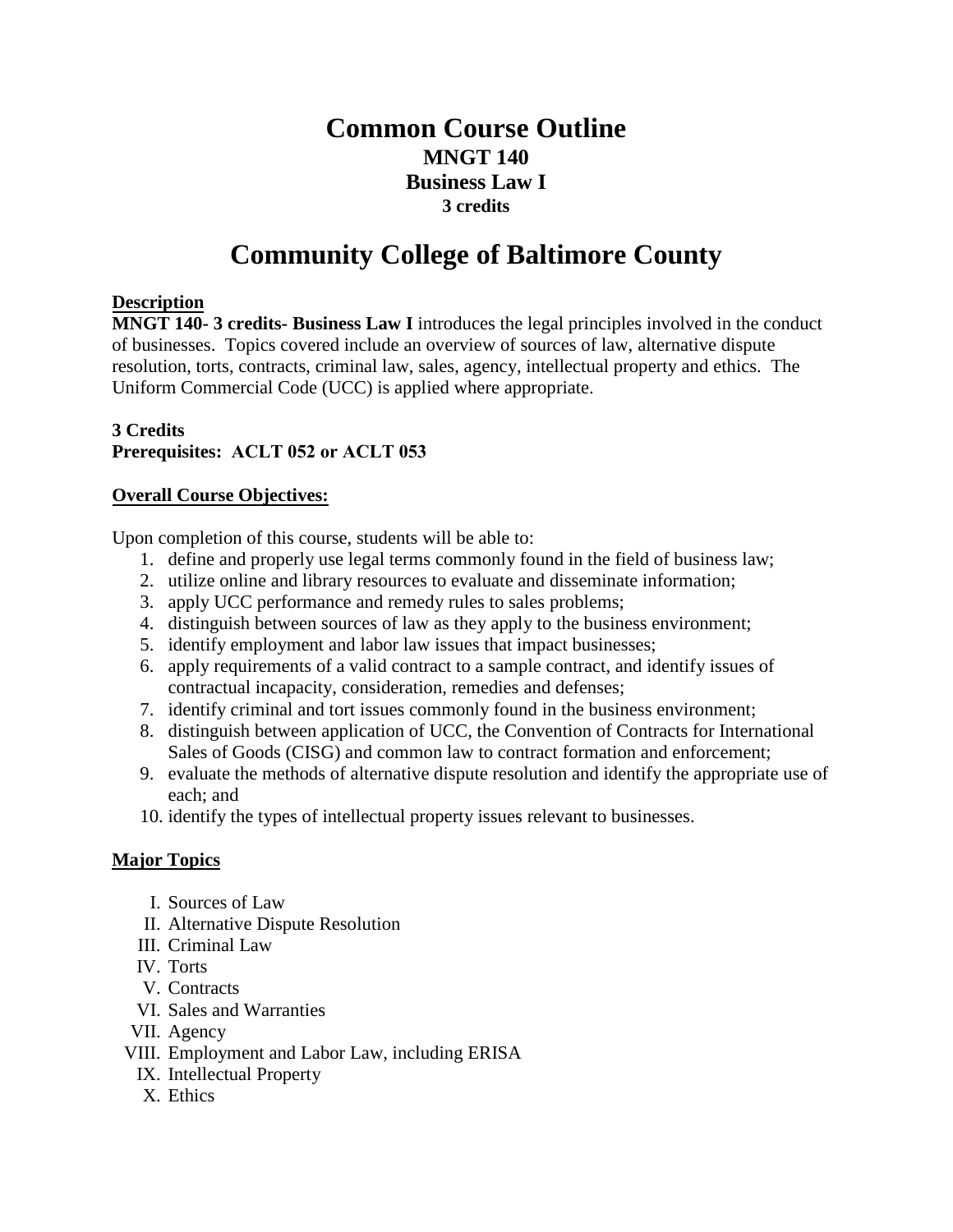# **Common Course Outline MNGT 140 Business Law I 3 credits**

# **Community College of Baltimore County**

#### **Description**

**MNGT 140- 3 credits- Business Law I** introduces the legal principles involved in the conduct of businesses. Topics covered include an overview of sources of law, alternative dispute resolution, torts, contracts, criminal law, sales, agency, intellectual property and ethics. The Uniform Commercial Code (UCC) is applied where appropriate.

#### **3 Credits Prerequisites: ACLT 052 or ACLT 053**

#### **Overall Course Objectives:**

Upon completion of this course, students will be able to:

- 1. define and properly use legal terms commonly found in the field of business law;
- 2. utilize online and library resources to evaluate and disseminate information;
- 3. apply UCC performance and remedy rules to sales problems;
- 4. distinguish between sources of law as they apply to the business environment;
- 5. identify employment and labor law issues that impact businesses;
- 6. apply requirements of a valid contract to a sample contract, and identify issues of contractual incapacity, consideration, remedies and defenses;
- 7. identify criminal and tort issues commonly found in the business environment;
- 8. distinguish between application of UCC, the Convention of Contracts for International Sales of Goods (CISG) and common law to contract formation and enforcement;
- 9. evaluate the methods of alternative dispute resolution and identify the appropriate use of each; and
- 10. identify the types of intellectual property issues relevant to businesses.

## **Major Topics**

- I. Sources of Law
- II. Alternative Dispute Resolution
- III. Criminal Law
- IV. Torts
- V. Contracts
- VI. Sales and Warranties
- VII. Agency
- VIII. Employment and Labor Law, including ERISA
	- IX. Intellectual Property
	- X. Ethics